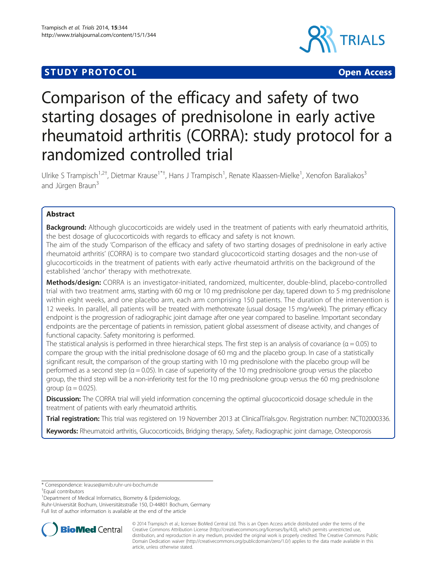# **STUDY PROTOCOL CONSUMING THE CONSUMING OPEN ACCESS**



# Comparison of the efficacy and safety of two starting dosages of prednisolone in early active rheumatoid arthritis (CORRA): study protocol for a randomized controlled trial

Ulrike S Trampisch<sup>1,2†</sup>, Dietmar Krause<sup>1\*†</sup>, Hans J Trampisch<sup>1</sup>, Renate Klaassen-Mielke<sup>1</sup>, Xenofon Baraliakos<sup>3</sup> and Jürgen Braun<sup>3</sup>

# Abstract

Background: Although glucocorticoids are widely used in the treatment of patients with early rheumatoid arthritis, the best dosage of glucocorticoids with regards to efficacy and safety is not known.

The aim of the study 'Comparison of the efficacy and safety of two starting dosages of prednisolone in early active rheumatoid arthritis' (CORRA) is to compare two standard glucocorticoid starting dosages and the non-use of glucocorticoids in the treatment of patients with early active rheumatoid arthritis on the background of the established 'anchor' therapy with methotrexate.

Methods/design: CORRA is an investigator-initiated, randomized, multicenter, double-blind, placebo-controlled trial with two treatment arms, starting with 60 mg or 10 mg prednisolone per day, tapered down to 5 mg prednisolone within eight weeks, and one placebo arm, each arm comprising 150 patients. The duration of the intervention is 12 weeks. In parallel, all patients will be treated with methotrexate (usual dosage 15 mg/week). The primary efficacy endpoint is the progression of radiographic joint damage after one year compared to baseline. Important secondary endpoints are the percentage of patients in remission, patient global assessment of disease activity, and changes of functional capacity. Safety monitoring is performed.

The statistical analysis is performed in three hierarchical steps. The first step is an analysis of covariance ( $\alpha$  = 0.05) to compare the group with the initial prednisolone dosage of 60 mg and the placebo group. In case of a statistically significant result, the comparison of the group starting with 10 mg prednisolone with the placebo group will be performed as a second step ( $\alpha$  = 0.05). In case of superiority of the 10 mg prednisolone group versus the placebo group, the third step will be a non-inferiority test for the 10 mg prednisolone group versus the 60 mg prednisolone group ( $\alpha$  = 0.025).

Discussion: The CORRA trial will yield information concerning the optimal glucocorticoid dosage schedule in the treatment of patients with early rheumatoid arthritis.

Trial registration: This trial was registered on 19 November 2013 at ClinicalTrials.gov. Registration number: [NCT02000336](http://clinicaltrials.gov/show/NCT02000336).

Keywords: Rheumatoid arthritis, Glucocorticoids, Bridging therapy, Safety, Radiographic joint damage, Osteoporosis

\* Correspondence: [krause@amib.ruhr-uni-bochum.de](mailto:krause@amib.ruhr-uni-bochum.de) †

Equal contributors

<sup>1</sup>Department of Medical Informatics, Biometry & Epidemiology,

Ruhr-Universität Bochum, Universitätsstraße 150, D-44801 Bochum, Germany Full list of author information is available at the end of the article



© 2014 Trampisch et al.; licensee BioMed Central Ltd. This is an Open Access article distributed under the terms of the Creative Commons Attribution License (<http://creativecommons.org/licenses/by/4.0>), which permits unrestricted use, distribution, and reproduction in any medium, provided the original work is properly credited. The Creative Commons Public Domain Dedication waiver [\(http://creativecommons.org/publicdomain/zero/1.0/\)](http://creativecommons.org/publicdomain/zero/1.0/) applies to the data made available in this article, unless otherwise stated.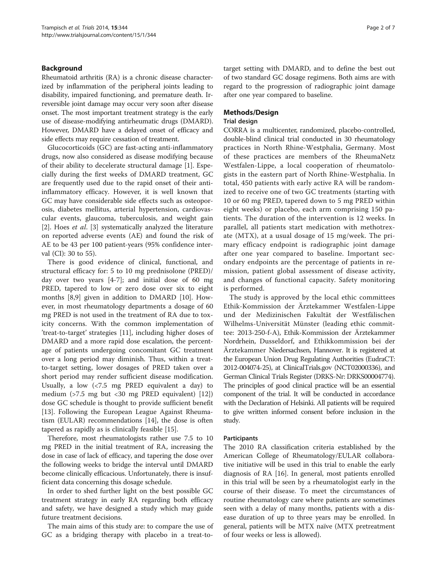# Background

Rheumatoid arthritis (RA) is a chronic disease characterized by inflammation of the peripheral joints leading to disability, impaired functioning, and premature death. Irreversible joint damage may occur very soon after disease onset. The most important treatment strategy is the early use of disease-modifying antirheumatic drugs (DMARD). However, DMARD have a delayed onset of efficacy and side effects may require cessation of treatment.

Glucocorticoids (GC) are fast-acting anti-inflammatory drugs, now also considered as disease modifying because of their ability to decelerate structural damage [[1](#page-5-0)]. Especially during the first weeks of DMARD treatment, GC are frequently used due to the rapid onset of their antiinflammatory efficacy. However, it is well known that GC may have considerable side effects such as osteoporosis, diabetes mellitus, arterial hypertension, cardiovascular events, glaucoma, tuberculosis, and weight gain [[2\]](#page-6-0). Hoes et al. [\[3](#page-6-0)] systematically analyzed the literature on reported adverse events (AE) and found the risk of AE to be 43 per 100 patient-years (95% confidence interval (CI): 30 to 55).

There is good evidence of clinical, functional, and structural efficacy for: 5 to 10 mg prednisolone (PRED)/ day over two years [\[4](#page-6-0)-[7\]](#page-6-0); and initial dose of 60 mg PRED, tapered to low or zero dose over six to eight months [\[8,9](#page-6-0)] given in addition to DMARD [[10\]](#page-6-0). However, in most rheumatology departments a dosage of 60 mg PRED is not used in the treatment of RA due to toxicity concerns. With the common implementation of 'treat-to-target' strategies [\[11\]](#page-6-0), including higher doses of DMARD and a more rapid dose escalation, the percentage of patients undergoing concomitant GC treatment over a long period may diminish. Thus, within a treatto-target setting, lower dosages of PRED taken over a short period may render sufficient disease modification. Usually, a low (<7.5 mg PRED equivalent a day) to medium (>7.5 mg but <30 mg PRED equivalent) [\[12](#page-6-0)]) dose GC schedule is thought to provide sufficient benefit [[13\]](#page-6-0). Following the European League Against Rheumatism (EULAR) recommendations [[14\]](#page-6-0), the dose is often tapered as rapidly as is clinically feasible [[15\]](#page-6-0).

Therefore, most rheumatologists rather use 7.5 to 10 mg PRED in the initial treatment of RA, increasing the dose in case of lack of efficacy, and tapering the dose over the following weeks to bridge the interval until DMARD become clinically efficacious. Unfortunately, there is insufficient data concerning this dosage schedule.

In order to shed further light on the best possible GC treatment strategy in early RA regarding both efficacy and safety, we have designed a study which may guide future treatment decisions.

The main aims of this study are: to compare the use of GC as a bridging therapy with placebo in a treat-totarget setting with DMARD, and to define the best out of two standard GC dosage regimens. Both aims are with regard to the progression of radiographic joint damage after one year compared to baseline.

# Methods/Design

## Trial design

CORRA is a multicenter, randomized, placebo-controlled, double-blind clinical trial conducted in 30 rheumatology practices in North Rhine-Westphalia, Germany. Most of these practices are members of the RheumaNetz Westfalen-Lippe, a local cooperation of rheumatologists in the eastern part of North Rhine-Westphalia. In total, 450 patients with early active RA will be randomized to receive one of two GC treatments (starting with 10 or 60 mg PRED, tapered down to 5 mg PRED within eight weeks) or placebo, each arm comprising 150 patients. The duration of the intervention is 12 weeks. In parallel, all patients start medication with methotrexate (MTX), at a usual dosage of 15 mg/week. The primary efficacy endpoint is radiographic joint damage after one year compared to baseline. Important secondary endpoints are the percentage of patients in remission, patient global assessment of disease activity, and changes of functional capacity. Safety monitoring is performed.

The study is approved by the local ethic committees Ethik-Kommission der Ärztekammer Westfalen-Lippe und der Medizinischen Fakultät der Westfälischen Wilhelms-Universität Münster (leading ethic committee: 2013-250-f-A), Ethik-Kommission der Ärztekammer Nordrhein, Dusseldorf, and Ethikkommission bei der Ärztekammer Niedersachsen, Hannover. It is registered at the European Union Drug Regulating Authorities (EudraCT: 2012-004074-25), at ClinicalTrials.gov (NCT02000336), and German Clinical Trials Register (DRKS-Nr: DRKS00004774). The principles of good clinical practice will be an essential component of the trial. It will be conducted in accordance with the Declaration of Helsinki. All patients will be required to give written informed consent before inclusion in the study.

## Participants

The 2010 RA classification criteria established by the American College of Rheumatology/EULAR collaborative initiative will be used in this trial to enable the early diagnosis of RA [\[16\]](#page-6-0). In general, most patients enrolled in this trial will be seen by a rheumatologist early in the course of their disease. To meet the circumstances of routine rheumatology care where patients are sometimes seen with a delay of many months, patients with a disease duration of up to three years may be enrolled. In general, patients will be MTX naïve (MTX pretreatment of four weeks or less is allowed).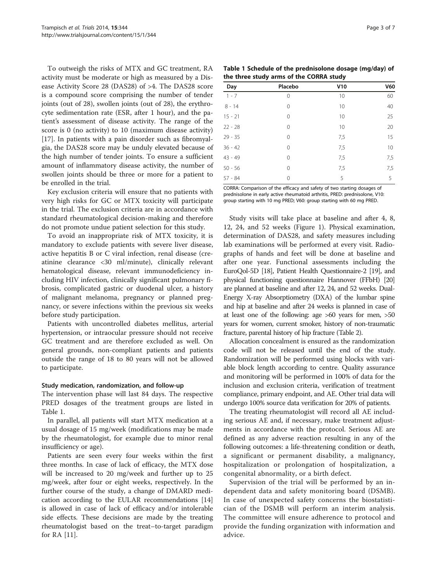To outweigh the risks of MTX and GC treatment, RA activity must be moderate or high as measured by a Disease Activity Score 28 (DAS28) of >4. The DAS28 score is a compound score comprising the number of tender joints (out of 28), swollen joints (out of 28), the erythrocyte sedimentation rate (ESR, after 1 hour), and the patient's assessment of disease activity. The range of the score is 0 (no activity) to 10 (maximum disease activity) [[17\]](#page-6-0). In patients with a pain disorder such as fibromyalgia, the DAS28 score may be unduly elevated because of the high number of tender joints. To ensure a sufficient amount of inflammatory disease activity, the number of swollen joints should be three or more for a patient to be enrolled in the trial.

Key exclusion criteria will ensure that no patients with very high risks for GC or MTX toxicity will participate in the trial. The exclusion criteria are in accordance with standard rheumatological decision-making and therefore do not promote undue patient selection for this study.

To avoid an inappropriate risk of MTX toxicity, it is mandatory to exclude patients with severe liver disease, active hepatitis B or C viral infection, renal disease (creatinine clearance <30 ml/minute), clinically relevant hematological disease, relevant immunodeficiency including HIV infection, clinically significant pulmonary fibrosis, complicated gastric or duodenal ulcer, a history of malignant melanoma, pregnancy or planned pregnancy, or severe infections within the previous six weeks before study participation.

Patients with uncontrolled diabetes mellitus, arterial hypertension, or intraocular pressure should not receive GC treatment and are therefore excluded as well. On general grounds, non-compliant patients and patients outside the range of 18 to 80 years will not be allowed to participate.

#### Study medication, randomization, and follow-up

The intervention phase will last 84 days. The respective PRED dosages of the treatment groups are listed in Table 1.

In parallel, all patients will start MTX medication at a usual dosage of 15 mg/week (modifications may be made by the rheumatologist, for example due to minor renal insufficiency or age).

Patients are seen every four weeks within the first three months. In case of lack of efficacy, the MTX dose will be increased to 20 mg/week and further up to 25 mg/week, after four or eight weeks, respectively. In the further course of the study, a change of DMARD medication according to the EULAR recommendations [[14](#page-6-0)] is allowed in case of lack of efficacy and/or intolerable side effects. These decisions are made by the treating rheumatologist based on the treat–to-target paradigm for RA [[11\]](#page-6-0).

| Day       | Placebo  | V <sub>10</sub> | <b>V60</b> |
|-----------|----------|-----------------|------------|
| $1 - 7$   | 0        | 10              | 60         |
| $8 - 14$  | 0        | 10              | 40         |
| $15 - 21$ | 0        | 10              | 25         |
| $22 - 28$ | 0        | 10              | 20         |
| $29 - 35$ | 0        | 7,5             | 15         |
| $36 - 42$ | $\Omega$ | 7,5             | 10         |
| $43 - 49$ | 0        | 7,5             | 7,5        |
| $50 - 56$ | 0        | 7,5             | 7,5        |
| $57 - 84$ | 0        | 5               | 5          |

CORRA: Comparison of the efficacy and safety of two starting dosages of prednisolone in early active rheumatoid arthritis, PRED: prednisolone, V10: group starting with 10 mg PRED; V60: group starting with 60 mg PRED.

Study visits will take place at baseline and after 4, 8, 12, 24, and 52 weeks (Figure [1\)](#page-3-0). Physical examination, determination of DAS28, and safety measures including lab examinations will be performed at every visit. Radiographs of hands and feet will be done at baseline and after one year. Functional assessments including the EuroQol-5D [\[18\]](#page-6-0), Patient Health Questionnaire-2 [\[19\]](#page-6-0), and physical functioning questionnaire Hannover (FFbH) [\[20](#page-6-0)] are planned at baseline and after 12, 24, and 52 weeks. Dual-Energy X-ray Absorptiometry (DXA) of the lumbar spine and hip at baseline and after 24 weeks is planned in case of at least one of the following: age >60 years for men, >50 years for women, current smoker, history of non-traumatic fracture, parental history of hip fracture (Table [2\)](#page-3-0).

Allocation concealment is ensured as the randomization code will not be released until the end of the study. Randomization will be performed using blocks with variable block length according to centre. Quality assurance and monitoring will be performed in 100% of data for the inclusion and exclusion criteria, verification of treatment compliance, primary endpoint, and AE. Other trial data will undergo 100% source data verification for 20% of patients.

The treating rheumatologist will record all AE including serious AE and, if necessary, make treatment adjustments in accordance with the protocol. Serious AE are defined as any adverse reaction resulting in any of the following outcomes: a life-threatening condition or death, a significant or permanent disability, a malignancy, hospitalization or prolongation of hospitalization, a congenital abnormality, or a birth defect.

Supervision of the trial will be performed by an independent data and safety monitoring board (DSMB). In case of unexpected safety concerns the biostatistician of the DSMB will perform an interim analysis. The committee will ensure adherence to protocol and provide the funding organization with information and advice.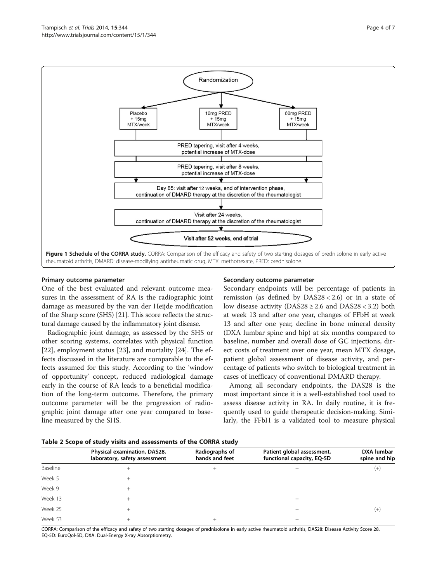<span id="page-3-0"></span>

# Visit after 52 weeks, end of trial Figure 1 Schedule of the CORRA study. CORRA: Comparison of the efficacy and safety of two starting dosages of prednisolone in early active rheumatoid arthritis, DMARD: disease-modifying antirheumatic drug, MTX: methotrexate, PRED: prednisolone.

continuation of DMARD therapy at the discretion of the rheumatologist

# Primary outcome parameter

One of the best evaluated and relevant outcome measures in the assessment of RA is the radiographic joint damage as measured by the van der Heijde modification of the Sharp score (SHS) [\[21\]](#page-6-0). This score reflects the structural damage caused by the inflammatory joint disease.

Radiographic joint damage, as assessed by the SHS or other scoring systems, correlates with physical function [[22\]](#page-6-0), employment status [\[23](#page-6-0)], and mortality [\[24\]](#page-6-0). The effects discussed in the literature are comparable to the effects assumed for this study. According to the 'window of opportunity' concept, reduced radiological damage early in the course of RA leads to a beneficial modification of the long-term outcome. Therefore, the primary outcome parameter will be the progression of radiographic joint damage after one year compared to baseline measured by the SHS.

# Secondary outcome parameter

Secondary endpoints will be: percentage of patients in remission (as defined by DAS28 < 2.6) or in a state of low disease activity ( $DAS28 \geq 2.6$  and  $DAS28 < 3.2$ ) both at week 13 and after one year, changes of FFbH at week 13 and after one year, decline in bone mineral density (DXA lumbar spine and hip) at six months compared to baseline, number and overall dose of GC injections, direct costs of treatment over one year, mean MTX dosage, patient global assessment of disease activity, and percentage of patients who switch to biological treatment in cases of inefficacy of conventional DMARD therapy.

Among all secondary endpoints, the DAS28 is the most important since it is a well-established tool used to assess disease activity in RA. In daily routine, it is frequently used to guide therapeutic decision-making. Similarly, the FFbH is a validated tool to measure physical

|          | Physical examination, DAS28,<br>laboratory, safety assessment | Radiographs of<br>hands and feet | Patient global assessment,<br>functional capacity, EQ-5D | <b>DXA</b> lumbar<br>spine and hip |  |  |
|----------|---------------------------------------------------------------|----------------------------------|----------------------------------------------------------|------------------------------------|--|--|
| Baseline |                                                               |                                  |                                                          | +                                  |  |  |
| Week 5   | $^{+}$                                                        |                                  |                                                          |                                    |  |  |
| Week 9   | $^+$                                                          |                                  |                                                          |                                    |  |  |
| Week 13  | $^+$                                                          |                                  |                                                          |                                    |  |  |
| Week 25  |                                                               |                                  |                                                          | $^{+}$                             |  |  |
| Week 53  |                                                               |                                  |                                                          |                                    |  |  |

CORRA: Comparison of the efficacy and safety of two starting dosages of prednisolone in early active rheumatoid arthritis, DAS28: Disease Activity Score 28, EQ-5D: EuroQol-5D, DXA: Dual-Energy X-ray Absorptiometry.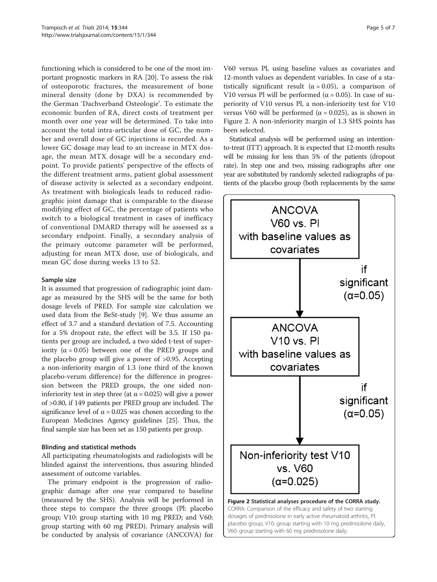functioning which is considered to be one of the most important prognostic markers in RA [[20](#page-6-0)]. To assess the risk of osteoporotic fractures, the measurement of bone mineral density (done by DXA) is recommended by the German 'Dachverband Osteologie'. To estimate the economic burden of RA, direct costs of treatment per month over one year will be determined. To take into account the total intra-articular dose of GC, the number and overall dose of GC injections is recorded. As a lower GC dosage may lead to an increase in MTX dosage, the mean MTX dosage will be a secondary endpoint. To provide patients' perspective of the effects of the different treatment arms, patient global assessment of disease activity is selected as a secondary endpoint. As treatment with biologicals leads to reduced radiographic joint damage that is comparable to the disease modifying effect of GC, the percentage of patients who switch to a biological treatment in cases of inefficacy of conventional DMARD therapy will be assessed as a secondary endpoint. Finally, a secondary analysis of the primary outcome parameter will be performed, adjusting for mean MTX dose, use of biologicals, and mean GC dose during weeks 13 to 52.

## Sample size

It is assumed that progression of radiographic joint damage as measured by the SHS will be the same for both dosage levels of PRED. For sample size calculation we used data from the BeSt-study [\[9](#page-6-0)]. We thus assume an effect of 3.7 and a standard deviation of 7.5. Accounting for a 5% dropout rate, the effect will be 3.5. If 150 patients per group are included, a two sided t-test of superiority ( $\alpha$  = 0.05) between one of the PRED groups and the placebo group will give a power of >0.95. Accepting a non-inferiority margin of 1.3 (one third of the known placebo-verum difference) for the difference in progression between the PRED groups, the one sided noninferiority test in step three (at  $\alpha$  = 0.025) will give a power of >0.80, if 149 patients per PRED group are included. The significance level of  $\alpha$  = 0.025 was chosen according to the European Medicines Agency guidelines [[25](#page-6-0)]. Thus, the final sample size has been set as 150 patients per group.

#### Blinding and statistical methods

All participating rheumatologists and radiologists will be blinded against the interventions, thus assuring blinded assessment of outcome variables.

The primary endpoint is the progression of radiographic damage after one year compared to baseline (measured by the SHS). Analysis will be performed in three steps to compare the three groups (Pl: placebo group; V10: group starting with 10 mg PRED; and V60: group starting with 60 mg PRED). Primary analysis will be conducted by analysis of covariance (ANCOVA) for V60 versus Pl, using baseline values as covariates and 12-month values as dependent variables. In case of a statistically significant result ( $\alpha = 0.05$ ), a comparison of V10 versus Pl will be performed ( $\alpha$  = 0.05). In case of superiority of V10 versus Pl, a non-inferiority test for V10 versus V60 will be performed (α = 0.025), as is shown in Figure 2. A non-inferiority margin of 1.3 SHS points has been selected.

Statistical analysis will be performed using an intentionto-treat (ITT) approach. It is expected that 12-month results will be missing for less than 5% of the patients (dropout rate). In step one and two, missing radiographs after one year are substituted by randomly selected radiographs of patients of the placebo group (both replacements by the same

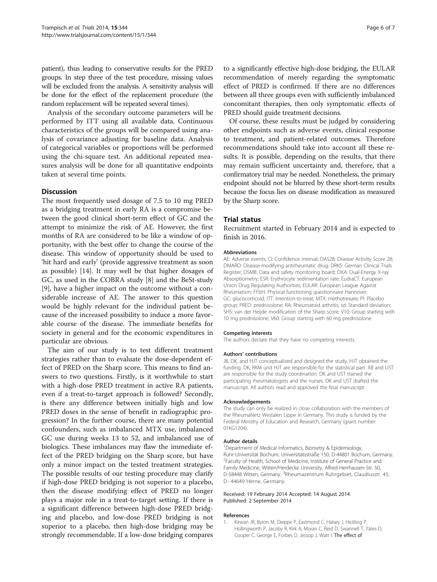<span id="page-5-0"></span>patient), thus leading to conservative results for the PRED groups. In step three of the test procedure, missing values will be excluded from the analysis. A sensitivity analysis will be done for the effect of the replacement procedure (the random replacement will be repeated several times).

Analysis of the secondary outcome parameters will be performed by ITT using all available data. Continuous characteristics of the groups will be compared using analysis of covariance adjusting for baseline data. Analysis of categorical variables or proportions will be performed using the chi-square test. An additional repeated measures analysis will be done for all quantitative endpoints taken at several time points.

#### **Discussion**

The most frequently used dosage of 7.5 to 10 mg PRED as a bridging treatment in early RA is a compromise between the good clinical short-term effect of GC and the attempt to minimize the risk of AE. However, the first months of RA are considered to be like a window of opportunity, with the best offer to change the course of the disease. This window of opportunity should be used to 'hit hard and early' (provide aggressive treatment as soon as possible) [\[14\]](#page-6-0). It may well be that higher dosages of GC, as used in the COBRA study [\[8](#page-6-0)] and the BeSt-study [[9\]](#page-6-0), have a higher impact on the outcome without a considerable increase of AE. The answer to this question would be highly relevant for the individual patient because of the increased possibility to induce a more favorable course of the disease. The immediate benefits for society in general and for the economic expenditures in particular are obvious.

The aim of our study is to test different treatment strategies rather than to evaluate the dose-dependent effect of PRED on the Sharp score. This means to find answers to two questions. Firstly, is it worthwhile to start with a high-dose PRED treatment in active RA patients, even if a treat-to-target approach is followed? Secondly, is there any difference between initially high and low PRED doses in the sense of benefit in radiographic progression? In the further course, there are many potential confounders, such as imbalanced MTX use, imbalanced GC use during weeks 13 to 52, and imbalanced use of biologics. These imbalances may flaw the immediate effect of the PRED bridging on the Sharp score, but have only a minor impact on the tested treatment strategies. The possible results of our testing procedure may clarify if high-dose PRED bridging is not superior to a placebo, then the disease modifying effect of PRED no longer plays a major role in a treat-to-target setting. If there is a significant difference between high-dose PRED bridging and placebo, and low-dose PRED bridging is not superior to a placebo, then high-dose bridging may be strongly recommendable. If a low-dose bridging compares

to a significantly effective high-dose bridging, the EULAR recommendation of merely regarding the symptomatic effect of PRED is confirmed. If there are no differences between all three groups even with sufficiently imbalanced concomitant therapies, then only symptomatic effects of PRED should guide treatment decisions.

Of course, these results must be judged by considering other endpoints such as adverse events, clinical response to treatment, and patient-related outcomes. Therefore recommendations should take into account all these results. It is possible, depending on the results, that there may remain sufficient uncertainty and, therefore, that a confirmatory trial may be needed. Nonetheless, the primary endpoint should not be blurred by these short-term results because the focus lies on disease modification as measured by the Sharp score.

#### Trial status

Recruitment started in February 2014 and is expected to finish in 2016.

#### Abbreviations

AE: Adverse events; CI: Confidence interval; DAS28: Disease Activity Score 28; DMARD: Disease-modifying antirheumatic drug; DRKS: German Clinical Trials Register; DSMB: Data and safety monitoring board; DXA: Dual-Energy X-ray Absorptiometry; ESR: Erythrocyte sedimentation rate; EudraCT: European Union Drug Regulating Authorities; EULAR: European League Against Rheumatism; FFbH: Physical functioning questionnaire Hannover; GC: glucocorticoid; ITT: Intention-to-treat; MTX: methotrexate; Pl: Placebo group; PRED: prednisolone; RA: Rheumatoid arthritis; sd: Standard deviation; SHS: van der Heijde modification of the Sharp score; V10: Group starting with 10 mg prednisolone; V60: Group starting with 60 mg prednisolone.

#### Competing interests

The authors declare that they have no competing interests.

#### Authors' contributions

JB, DK, and HJT conceptualized and designed the study. HJT obtained the funding. DK, RKM und HJT are responsible for the statistical part. XB and UST are responsible for the study coordination. DK and UST trained the participating rheumatologists and the nurses. DK and UST drafted the manuscript. All authors read and approved the final manuscript.

#### Acknowledgements

The study can only be realized in close collaboration with the members of the RheumaNetz Westalen Lippe in Germany. This study is funded by the Federal Ministry of Education and Research, Germany (grant number: 01KG1204)

#### Author details

<sup>1</sup>Department of Medical Informatics, Biometry & Epidemiology, Ruhr-Universität Bochum, Universitätsstraße 150, D-44801 Bochum, Germany. <sup>2</sup>Faculty of Health, School of Medicine, Institute of General Practice and Family Medicine, Witten/Herdecke University, Alfred-Herrhausen-Str. 50, D-58448 Witten, Germany. <sup>3</sup>Rheumazentrum Ruhrgebiet, Claudiusstr. 45 D- 44649 Herne, Germany.

#### Received: 19 February 2014 Accepted: 14 August 2014 Published: 2 September 2014

#### References

1. Kirwan JR, Byron M, Dieppe P, Eastmond C, Halsey J, Hickling P, Hollingworth P, Jacoby R, Kirk A, Moran C, Reid D, Swannell T, Yates D, Cooper C, George E, Forbes D, Jessop J, Watt I: The effect of